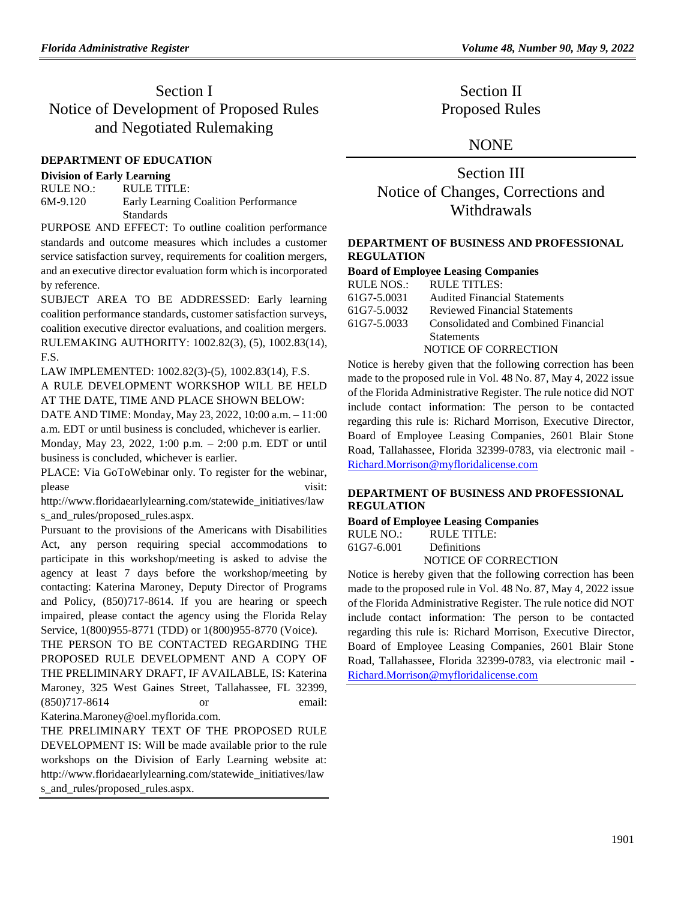# Section I Notice of Development of Proposed Rules and Negotiated Rulemaking

### **[DEPARTMENT OF EDUCATION](https://www.flrules.org/gateway/department.asp?id=6)**

#### **[Division of Early Learning](https://www.flrules.org/gateway/organization.asp?id=1044)**

| RULE NO.:  | RULE TITLE:                          |
|------------|--------------------------------------|
| $6M-9.120$ | Early Learning Coalition Performance |
|            | <b>Standards</b>                     |

PURPOSE AND EFFECT: To outline coalition performance standards and outcome measures which includes a customer service satisfaction survey, requirements for coalition mergers, and an executive director evaluation form which is incorporated by reference.

SUBJECT AREA TO BE ADDRESSED: Early learning coalition performance standards, customer satisfaction surveys, coalition executive director evaluations, and coalition mergers. RULEMAKING AUTHORITY: [1002.82\(3\),](https://www.flrules.org/gateway/statute.asp?id=1002.82(3)) (5), [1002.83\(14\),](https://www.flrules.org/gateway/statute.asp?id=%201002.83(14)) F.S.

LAW IMPLEMENTED: [1002.82\(3\)-\(5\),](https://www.flrules.org/gateway/statute.asp?id=1002.82(3)-(5)) [1002.83\(14\),](https://www.flrules.org/gateway/statute.asp?id=%201002.83(14)) F.S. A RULE DEVELOPMENT WORKSHOP WILL BE HELD AT THE DATE, TIME AND PLACE SHOWN BELOW:

DATE AND TIME: Monday, May 23, 2022, 10:00 a.m. – 11:00 a.m. EDT or until business is concluded, whichever is earlier.

Monday, May 23, 2022, 1:00 p.m. – 2:00 p.m. EDT or until business is concluded, whichever is earlier.

PLACE: Via GoToWebinar only. To register for the webinar, please visit:

http://www.floridaearlylearning.com/statewide\_initiatives/law s and rules/proposed rules.aspx.

Pursuant to the provisions of the Americans with Disabilities Act, any person requiring special accommodations to participate in this workshop/meeting is asked to advise the agency at least 7 days before the workshop/meeting by contacting: Katerina Maroney, Deputy Director of Programs and Policy, (850)717-8614. If you are hearing or speech impaired, please contact the agency using the Florida Relay Service, 1(800)955-8771 (TDD) or 1(800)955-8770 (Voice).

THE PERSON TO BE CONTACTED REGARDING THE PROPOSED RULE DEVELOPMENT AND A COPY OF THE PRELIMINARY DRAFT, IF AVAILABLE, IS: Katerina Maroney, 325 West Gaines Street, Tallahassee, FL 32399, (850)717-8614 or email: Katerina.Maroney@oel.myflorida.com.

THE PRELIMINARY TEXT OF THE PROPOSED RULE DEVELOPMENT IS: Will be made available prior to the rule workshops on the Division of Early Learning website at: [http://www.floridaearlylearning.com/statewide\\_initiatives/law](http://www.floridaearlylearning.com/statewide_initiatives/laws_and_rules/proposed_rules.aspx) [s\\_and\\_rules/proposed\\_rules.aspx.](http://www.floridaearlylearning.com/statewide_initiatives/laws_and_rules/proposed_rules.aspx)

Section II Proposed Rules

## NONE

Section III Notice of Changes, Corrections and Withdrawals

#### **[DEPARTMENT OF BUSINESS AND PROFESSIONAL](https://www.flrules.org/gateway/department.asp?id=61)  [REGULATION](https://www.flrules.org/gateway/department.asp?id=61)**

#### **[Board of Employee Leasing Companies](https://www.flrules.org/gateway/organization.asp?id=277)**

| RULE NOS.:  | RULE TITLES:                        |
|-------------|-------------------------------------|
| 61G7-5.0031 | <b>Audited Financial Statements</b> |
| 61G7-5.0032 | Reviewed Financial Statements       |
| 61G7-5.0033 | Consolidated and Combined Financial |
|             | <b>Statements</b>                   |
|             | <b>NOTICE OF CORRECTION</b>         |

Notice is hereby given that the following correction has been made to the proposed rule in Vol. 48 No. 87, May 4, 2022 issue of the Florida Administrative Register. The rule notice did NOT include contact information: The person to be contacted regarding this rule is: Richard Morrison, Executive Director, Board of Employee Leasing Companies, 2601 Blair Stone Road, Tallahassee, Florida 32399-0783, via electronic mail - [Richard.Morrison@myfloridalicense.com](mailto:Richard.Morrison@myfloridalicense.com)

#### **[DEPARTMENT OF BUSINESS AND PROFESSIONAL](https://www.flrules.org/gateway/department.asp?id=61)  [REGULATION](https://www.flrules.org/gateway/department.asp?id=61)**

#### **[Board of Employee Leasing Companies](https://www.flrules.org/gateway/organization.asp?id=277)**

RULE NO.: RULE TITLE: [61G7-6.001](https://www.flrules.org/gateway/ruleNo.asp?id=61G7-6.001) Definitions

NOTICE OF CORRECTION

Notice is hereby given that the following correction has been made to the proposed rule in Vol. 48 No. 87, May 4, 2022 issue of the Florida Administrative Register. The rule notice did NOT include contact information: The person to be contacted regarding this rule is: Richard Morrison, Executive Director, Board of Employee Leasing Companies, 2601 Blair Stone Road, Tallahassee, Florida 32399-0783, via electronic mail - [Richard.Morrison@myfloridalicense.com](mailto:Richard.Morrison@myfloridalicense.com)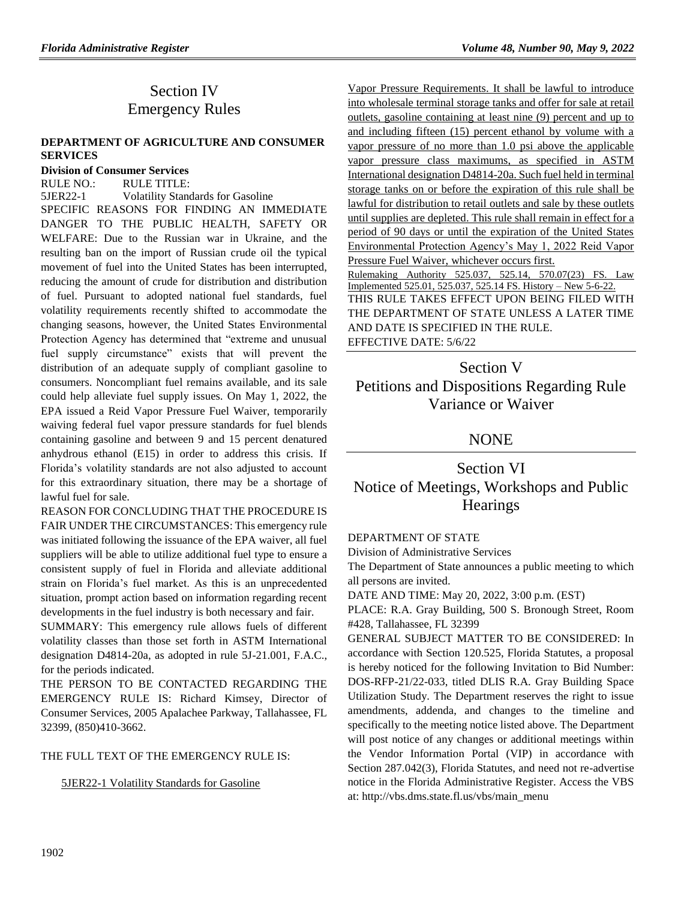# Section IV Emergency Rules

#### **[DEPARTMENT OF AGRICULTURE AND CONSUMER](https://www.flrules.org/gateway/department.asp?id=5)  [SERVICES](https://www.flrules.org/gateway/department.asp?id=5)**

#### **[Division of Consumer Services](https://www.flrules.org/gateway/organization.asp?id=170)**

RULE NO.: RULE TITLE: [5JER22-1](https://www.flrules.org/gateway/ruleNo.asp?id=5JER22-1) Volatility Standards for Gasoline SPECIFIC REASONS FOR FINDING AN IMMEDIATE DANGER TO THE PUBLIC HEALTH, SAFETY OR WELFARE: Due to the Russian war in Ukraine, and the resulting ban on the import of Russian crude oil the typical movement of fuel into the United States has been interrupted, reducing the amount of crude for distribution and distribution of fuel. Pursuant to adopted national fuel standards, fuel volatility requirements recently shifted to accommodate the changing seasons, however, the United States Environmental Protection Agency has determined that "extreme and unusual fuel supply circumstance" exists that will prevent the distribution of an adequate supply of compliant gasoline to consumers. Noncompliant fuel remains available, and its sale could help alleviate fuel supply issues. On May 1, 2022, the EPA issued a Reid Vapor Pressure Fuel Waiver, temporarily waiving federal fuel vapor pressure standards for fuel blends containing gasoline and between 9 and 15 percent denatured anhydrous ethanol (E15) in order to address this crisis. If Florida's volatility standards are not also adjusted to account for this extraordinary situation, there may be a shortage of lawful fuel for sale.

REASON FOR CONCLUDING THAT THE PROCEDURE IS FAIR UNDER THE CIRCUMSTANCES: This emergency rule was initiated following the issuance of the EPA waiver, all fuel suppliers will be able to utilize additional fuel type to ensure a consistent supply of fuel in Florida and alleviate additional strain on Florida's fuel market. As this is an unprecedented situation, prompt action based on information regarding recent developments in the fuel industry is both necessary and fair.

SUMMARY: This emergency rule allows fuels of different volatility classes than those set forth in ASTM International designation D4814-20a, as adopted in rule 5J-21.001, F.A.C., for the periods indicated.

THE PERSON TO BE CONTACTED REGARDING THE EMERGENCY RULE IS: Richard Kimsey, Director of Consumer Services, 2005 Apalachee Parkway, Tallahassee, FL 32399, (850)410-3662.

#### THE FULL TEXT OF THE EMERGENCY RULE IS:

5JER22-1 Volatility Standards for Gasoline

Vapor Pressure Requirements. It shall be lawful to introduce into wholesale terminal storage tanks and offer for sale at retail outlets, gasoline containing at least nine (9) percent and up to and including fifteen (15) percent ethanol by volume with a vapor pressure of no more than 1.0 psi above the applicable vapor pressure class maximums, as specified in ASTM International designation D4814-20a. Such fuel held in terminal storage tanks on or before the expiration of this rule shall be lawful for distribution to retail outlets and sale by these outlets until supplies are depleted. This rule shall remain in effect for a period of 90 days or until the expiration of the United States Environmental Protection Agency's May 1, 2022 Reid Vapor Pressure Fuel Waiver, whichever occurs first. Rulemaking Authority 525.037, 525.14, 570.07(23) FS. Law Implemented 525.01, 525.037, 525.14 FS. History – New 5-6-22. THIS RULE TAKES EFFECT UPON BEING FILED WITH THE DEPARTMENT OF STATE UNLESS A LATER TIME AND DATE IS SPECIFIED IN THE RULE. EFFECTIVE DATE: 5/6/22

# Section V Petitions and Dispositions Regarding Rule Variance or Waiver

## **NONE**

Section VI Notice of Meetings, Workshops and Public **Hearings** 

## [DEPARTMENT OF STATE](https://www.flrules.org/gateway/department.asp?id=1)

[Division of Administrative Services](https://www.flrules.org/gateway/organization.asp?id=1420)

The Department of State announces a public meeting to which all persons are invited.

DATE AND TIME: May 20, 2022, 3:00 p.m. (EST)

PLACE: R.A. Gray Building, 500 S. Bronough Street, Room #428, Tallahassee, FL 32399

GENERAL SUBJECT MATTER TO BE CONSIDERED: In accordance with Section 120.525, Florida Statutes, a proposal is hereby noticed for the following Invitation to Bid Number: DOS-RFP-21/22-033, titled DLIS R.A. Gray Building Space Utilization Study. The Department reserves the right to issue amendments, addenda, and changes to the timeline and specifically to the meeting notice listed above. The Department will post notice of any changes or additional meetings within the Vendor Information Portal (VIP) in accordance with Section 287.042(3), Florida Statutes, and need not re-advertise notice in the Florida Administrative Register. Access the VBS at: http://vbs.dms.state.fl.us/vbs/main\_menu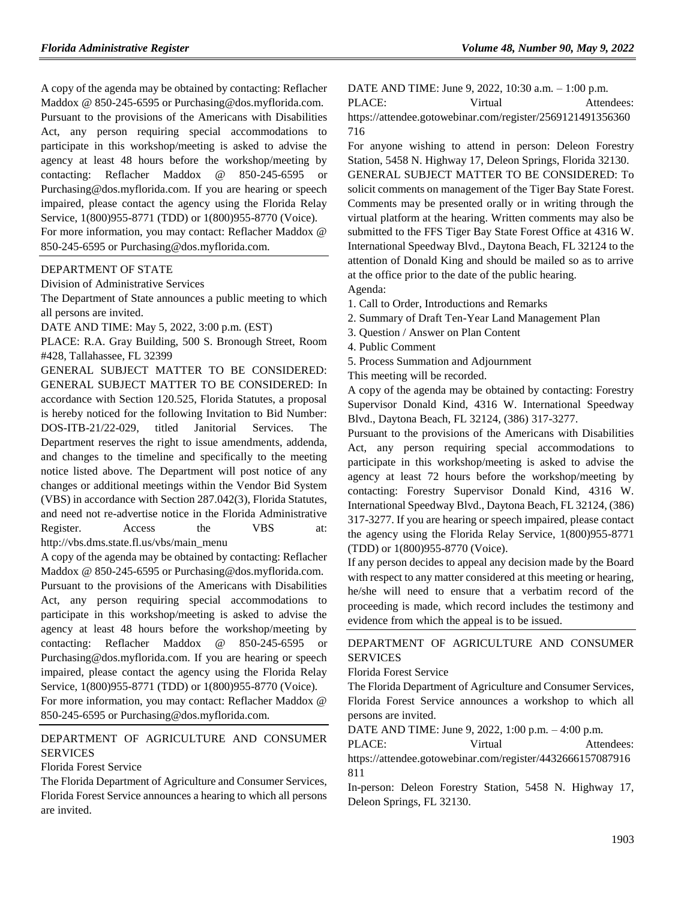A copy of the agenda may be obtained by contacting: Reflacher Maddox @ 850-245-6595 or Purchasing@dos.myflorida.com.

Pursuant to the provisions of the Americans with Disabilities Act, any person requiring special accommodations to participate in this workshop/meeting is asked to advise the agency at least 48 hours before the workshop/meeting by contacting: Reflacher Maddox @ 850-245-6595 or Purchasing@dos.myflorida.com. If you are hearing or speech impaired, please contact the agency using the Florida Relay Service, 1(800)955-8771 (TDD) or 1(800)955-8770 (Voice).

For more information, you may contact: Reflacher Maddox @ 850-245-6595 or Purchasing@dos.myflorida.com.

#### [DEPARTMENT OF STATE](https://www.flrules.org/gateway/department.asp?id=1)

[Division of Administrative Services](https://www.flrules.org/gateway/organization.asp?id=1420)

The Department of State announces a public meeting to which all persons are invited.

DATE AND TIME: May 5, 2022, 3:00 p.m. (EST)

PLACE: R.A. Gray Building, 500 S. Bronough Street, Room #428, Tallahassee, FL 32399

GENERAL SUBJECT MATTER TO BE CONSIDERED: GENERAL SUBJECT MATTER TO BE CONSIDERED: In accordance with Section 120.525, Florida Statutes, a proposal is hereby noticed for the following Invitation to Bid Number: DOS-ITB-21/22-029, titled Janitorial Services. The Department reserves the right to issue amendments, addenda, and changes to the timeline and specifically to the meeting notice listed above. The Department will post notice of any changes or additional meetings within the Vendor Bid System (VBS) in accordance with Section 287.042(3), Florida Statutes, and need not re-advertise notice in the Florida Administrative Register. Access the VBS at: http://vbs.dms.state.fl.us/vbs/main\_menu

A copy of the agenda may be obtained by contacting: Reflacher Maddox @ 850-245-6595 or Purchasing@dos.myflorida.com.

Pursuant to the provisions of the Americans with Disabilities Act, any person requiring special accommodations to participate in this workshop/meeting is asked to advise the agency at least 48 hours before the workshop/meeting by contacting: Reflacher Maddox @ 850-245-6595 or Purchasing@dos.myflorida.com. If you are hearing or speech impaired, please contact the agency using the Florida Relay Service, 1(800)955-8771 (TDD) or 1(800)955-8770 (Voice).

For more information, you may contact: Reflacher Maddox @ 850-245-6595 or Purchasing@dos.myflorida.com.

## [DEPARTMENT OF AGRICULTURE AND CONSUMER](https://www.flrules.org/gateway/department.asp?id=5)  **[SERVICES](https://www.flrules.org/gateway/department.asp?id=5)**

#### [Florida Forest Service](https://www.flrules.org/gateway/organization.asp?id=169)

The Florida Department of Agriculture and Consumer Services, Florida Forest Service announces a hearing to which all persons are invited.

DATE AND TIME: June 9, 2022, 10:30 a.m. – 1:00 p.m. PLACE: Virtual Attendees: https://attendee.gotowebinar.com/register/2569121491356360 716

For anyone wishing to attend in person: Deleon Forestry Station, 5458 N. Highway 17, Deleon Springs, Florida 32130. GENERAL SUBJECT MATTER TO BE CONSIDERED: To solicit comments on management of the Tiger Bay State Forest. Comments may be presented orally or in writing through the virtual platform at the hearing. Written comments may also be submitted to the FFS Tiger Bay State Forest Office at 4316 W. International Speedway Blvd., Daytona Beach, FL 32124 to the attention of Donald King and should be mailed so as to arrive at the office prior to the date of the public hearing.

- Agenda:
- 1. Call to Order, Introductions and Remarks
- 2. Summary of Draft Ten-Year Land Management Plan
- 3. Question / Answer on Plan Content
- 4. Public Comment
- 5. Process Summation and Adjournment

This meeting will be recorded.

A copy of the agenda may be obtained by contacting: Forestry Supervisor Donald Kind, 4316 W. International Speedway Blvd., Daytona Beach, FL 32124, (386) 317-3277.

Pursuant to the provisions of the Americans with Disabilities Act, any person requiring special accommodations to participate in this workshop/meeting is asked to advise the agency at least 72 hours before the workshop/meeting by contacting: Forestry Supervisor Donald Kind, 4316 W. International Speedway Blvd., Daytona Beach, FL 32124, (386) 317-3277. If you are hearing or speech impaired, please contact the agency using the Florida Relay Service, 1(800)955-8771 (TDD) or 1(800)955-8770 (Voice).

If any person decides to appeal any decision made by the Board with respect to any matter considered at this meeting or hearing, he/she will need to ensure that a verbatim record of the proceeding is made, which record includes the testimony and evidence from which the appeal is to be issued.

### [DEPARTMENT OF AGRICULTURE AND CONSUMER](https://www.flrules.org/gateway/department.asp?id=5)  [SERVICES](https://www.flrules.org/gateway/department.asp?id=5)

#### [Florida Forest Service](https://www.flrules.org/gateway/organization.asp?id=169)

The Florida Department of Agriculture and Consumer Services, Florida Forest Service announces a workshop to which all persons are invited.

DATE AND TIME: June 9, 2022, 1:00 p.m. – 4:00 p.m.

PLACE: Virtual Attendees: https://attendee.gotowebinar.com/register/4432666157087916 811

In-person: Deleon Forestry Station, 5458 N. Highway 17, Deleon Springs, FL 32130.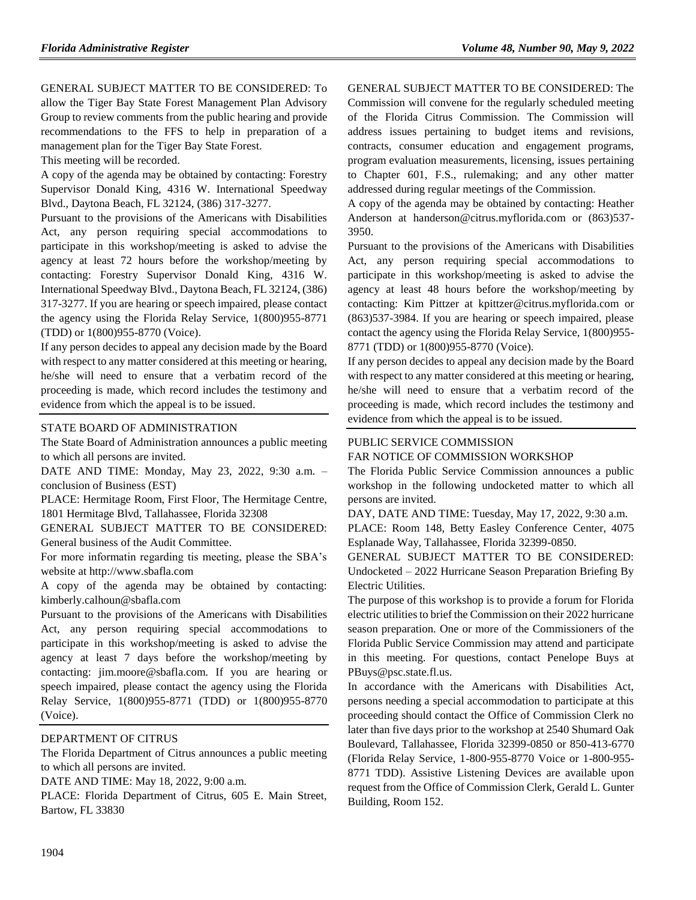GENERAL SUBJECT MATTER TO BE CONSIDERED: To allow the Tiger Bay State Forest Management Plan Advisory Group to review comments from the public hearing and provide recommendations to the FFS to help in preparation of a management plan for the Tiger Bay State Forest.

This meeting will be recorded.

A copy of the agenda may be obtained by contacting: Forestry Supervisor Donald King, 4316 W. International Speedway Blvd., Daytona Beach, FL 32124, (386) 317-3277.

Pursuant to the provisions of the Americans with Disabilities Act, any person requiring special accommodations to participate in this workshop/meeting is asked to advise the agency at least 72 hours before the workshop/meeting by contacting: Forestry Supervisor Donald King, 4316 W. International Speedway Blvd., Daytona Beach, FL 32124, (386) 317-3277. If you are hearing or speech impaired, please contact the agency using the Florida Relay Service, 1(800)955-8771 (TDD) or 1(800)955-8770 (Voice).

If any person decides to appeal any decision made by the Board with respect to any matter considered at this meeting or hearing, he/she will need to ensure that a verbatim record of the proceeding is made, which record includes the testimony and evidence from which the appeal is to be issued.

#### [STATE BOARD OF ADMINISTRATION](https://www.flrules.org/gateway/department.asp?id=19)

The State Board of Administration announces a public meeting to which all persons are invited.

DATE AND TIME: Monday, May 23, 2022, 9:30 a.m. – conclusion of Business (EST)

PLACE: Hermitage Room, First Floor, The Hermitage Centre, 1801 Hermitage Blvd, Tallahassee, Florida 32308

GENERAL SUBJECT MATTER TO BE CONSIDERED: General business of the Audit Committee.

For more informatin regarding tis meeting, please the SBA's website at http://www.sbafla.com

A copy of the agenda may be obtained by contacting: kimberly.calhoun@sbafla.com

Pursuant to the provisions of the Americans with Disabilities Act, any person requiring special accommodations to participate in this workshop/meeting is asked to advise the agency at least 7 days before the workshop/meeting by contacting: jim.moore@sbafla.com. If you are hearing or speech impaired, please contact the agency using the Florida Relay Service, 1(800)955-8771 (TDD) or 1(800)955-8770 (Voice).

## [DEPARTMENT OF CITRUS](https://www.flrules.org/gateway/department.asp?id=20)

The Florida Department of Citrus announces a public meeting to which all persons are invited.

DATE AND TIME: May 18, 2022, 9:00 a.m.

PLACE: Florida Department of Citrus, 605 E. Main Street, Bartow, FL 33830

GENERAL SUBJECT MATTER TO BE CONSIDERED: The Commission will convene for the regularly scheduled meeting of the Florida Citrus Commission. The Commission will address issues pertaining to budget items and revisions, contracts, consumer education and engagement programs, program evaluation measurements, licensing, issues pertaining to Chapter 601, F.S., rulemaking; and any other matter addressed during regular meetings of the Commission.

A copy of the agenda may be obtained by contacting: Heather Anderson at handerson@citrus.myflorida.com or (863)537- 3950.

Pursuant to the provisions of the Americans with Disabilities Act, any person requiring special accommodations to participate in this workshop/meeting is asked to advise the agency at least 48 hours before the workshop/meeting by contacting: Kim Pittzer at kpittzer@citrus.myflorida.com or (863)537-3984. If you are hearing or speech impaired, please contact the agency using the Florida Relay Service, 1(800)955- 8771 (TDD) or 1(800)955-8770 (Voice).

If any person decides to appeal any decision made by the Board with respect to any matter considered at this meeting or hearing, he/she will need to ensure that a verbatim record of the proceeding is made, which record includes the testimony and evidence from which the appeal is to be issued.

## PUBLIC SERVICE COMMISSION

#### FAR NOTICE OF COMMISSION WORKSHOP

The Florida Public Service Commission announces a public workshop in the following undocketed matter to which all persons are invited.

DAY, DATE AND TIME: Tuesday, May 17, 2022, 9:30 a.m.

PLACE: Room 148, Betty Easley Conference Center, 4075 Esplanade Way, Tallahassee, Florida 32399-0850.

GENERAL SUBJECT MATTER TO BE CONSIDERED: Undocketed – 2022 Hurricane Season Preparation Briefing By Electric Utilities.

The purpose of this workshop is to provide a forum for Florida electric utilities to brief the Commission on their 2022 hurricane season preparation. One or more of the Commissioners of the Florida Public Service Commission may attend and participate in this meeting. For questions, contact Penelope Buys at PBuys@psc.state.fl.us.

In accordance with the Americans with Disabilities Act, persons needing a special accommodation to participate at this proceeding should contact the Office of Commission Clerk no later than five days prior to the workshop at 2540 Shumard Oak Boulevard, Tallahassee, Florida 32399-0850 or 850-413-6770 (Florida Relay Service, 1-800-955-8770 Voice or 1-800-955- 8771 TDD). Assistive Listening Devices are available upon request from the Office of Commission Clerk, Gerald L. Gunter Building, Room 152.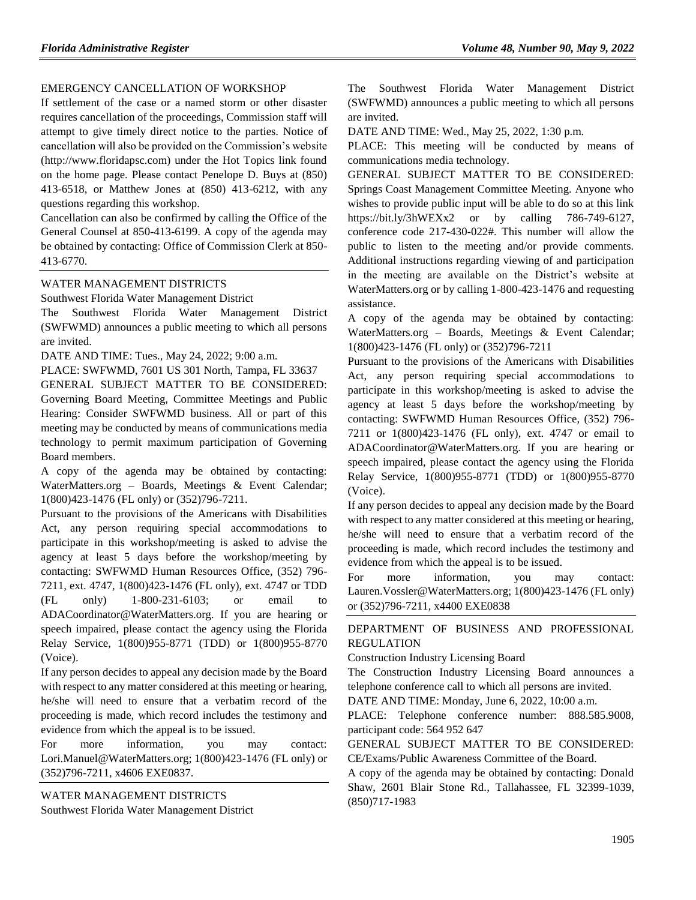#### EMERGENCY CANCELLATION OF WORKSHOP

If settlement of the case or a named storm or other disaster requires cancellation of the proceedings, Commission staff will attempt to give timely direct notice to the parties. Notice of cancellation will also be provided on the Commission's website (http://www.floridapsc.com) under the Hot Topics link found on the home page. Please contact Penelope D. Buys at (850) 413-6518, or Matthew Jones at (850) 413-6212, with any questions regarding this workshop.

Cancellation can also be confirmed by calling the Office of the General Counsel at 850-413-6199. A copy of the agenda may be obtained by contacting: Office of Commission Clerk at 850- 413-6770.

[WATER MANAGEMENT DISTRICTS](https://www.flrules.org/gateway/department.asp?id=40)

[Southwest Florida Water Management District](https://www.flrules.org/gateway/organization.asp?id=123)

The Southwest Florida Water Management District (SWFWMD) announces a public meeting to which all persons are invited.

DATE AND TIME: Tues., May 24, 2022; 9:00 a.m.

PLACE: SWFWMD, 7601 US 301 North, Tampa, FL 33637 GENERAL SUBJECT MATTER TO BE CONSIDERED: Governing Board Meeting, Committee Meetings and Public Hearing: Consider SWFWMD business. All or part of this meeting may be conducted by means of communications media technology to permit maximum participation of Governing Board members.

A copy of the agenda may be obtained by contacting: WaterMatters.org – Boards, Meetings & Event Calendar; 1(800)423-1476 (FL only) or (352)796-7211.

Pursuant to the provisions of the Americans with Disabilities Act, any person requiring special accommodations to participate in this workshop/meeting is asked to advise the agency at least 5 days before the workshop/meeting by contacting: SWFWMD Human Resources Office, (352) 796- 7211, ext. 4747, 1(800)423-1476 (FL only), ext. 4747 or TDD (FL only) 1-800-231-6103; or email to ADACoordinator@WaterMatters.org. If you are hearing or speech impaired, please contact the agency using the Florida Relay Service, 1(800)955-8771 (TDD) or 1(800)955-8770 (Voice).

If any person decides to appeal any decision made by the Board with respect to any matter considered at this meeting or hearing, he/she will need to ensure that a verbatim record of the proceeding is made, which record includes the testimony and evidence from which the appeal is to be issued.

For more information, you may contact: Lori.Manuel@WaterMatters.org; 1(800)423-1476 (FL only) or (352)796-7211, x4606 EXE0837.

[WATER MANAGEMENT DISTRICTS](https://www.flrules.org/gateway/department.asp?id=40) Southwest [Florida Water Management District](https://www.flrules.org/gateway/organization.asp?id=123) The Southwest Florida Water Management District (SWFWMD) announces a public meeting to which all persons are invited.

DATE AND TIME: Wed., May 25, 2022, 1:30 p.m.

PLACE: This meeting will be conducted by means of communications media technology.

GENERAL SUBJECT MATTER TO BE CONSIDERED: Springs Coast Management Committee Meeting. Anyone who wishes to provide public input will be able to do so at this link https://bit.ly/3hWEXx2 or by calling 786-749-6127, conference code 217-430-022#. This number will allow the public to listen to the meeting and/or provide comments. Additional instructions regarding viewing of and participation in the meeting are available on the District's website at WaterMatters.org or by calling 1-800-423-1476 and requesting assistance.

A copy of the agenda may be obtained by contacting: WaterMatters.org – Boards, Meetings & Event Calendar; 1(800)423-1476 (FL only) or (352)796-7211

Pursuant to the provisions of the Americans with Disabilities Act, any person requiring special accommodations to participate in this workshop/meeting is asked to advise the agency at least 5 days before the workshop/meeting by contacting: SWFWMD Human Resources Office, (352) 796- 7211 or 1(800)423-1476 (FL only), ext. 4747 or email to ADACoordinator@WaterMatters.org. If you are hearing or speech impaired, please contact the agency using the Florida Relay Service, 1(800)955-8771 (TDD) or 1(800)955-8770 (Voice).

If any person decides to appeal any decision made by the Board with respect to any matter considered at this meeting or hearing, he/she will need to ensure that a verbatim record of the proceeding is made, which record includes the testimony and evidence from which the appeal is to be issued.

For more information, you may contact: Lauren.Vossler@WaterMatters.org; 1(800)423-1476 (FL only) or (352)796-7211, x4400 EXE0838

[DEPARTMENT OF BUSINESS AND PROFESSIONAL](https://www.flrules.org/gateway/department.asp?id=61)  [REGULATION](https://www.flrules.org/gateway/department.asp?id=61)

[Construction Industry Licensing Board](https://www.flrules.org/gateway/organization.asp?id=274)

The Construction Industry Licensing Board announces a telephone conference call to which all persons are invited.

DATE AND TIME: Monday, June 6, 2022, 10:00 a.m.

PLACE: Telephone conference number: 888.585.9008, participant code: 564 952 647

GENERAL SUBJECT MATTER TO BE CONSIDERED: CE/Exams/Public Awareness Committee of the Board.

A copy of the agenda may be obtained by contacting: Donald Shaw, 2601 Blair Stone Rd., Tallahassee, FL 32399-1039, (850)717-1983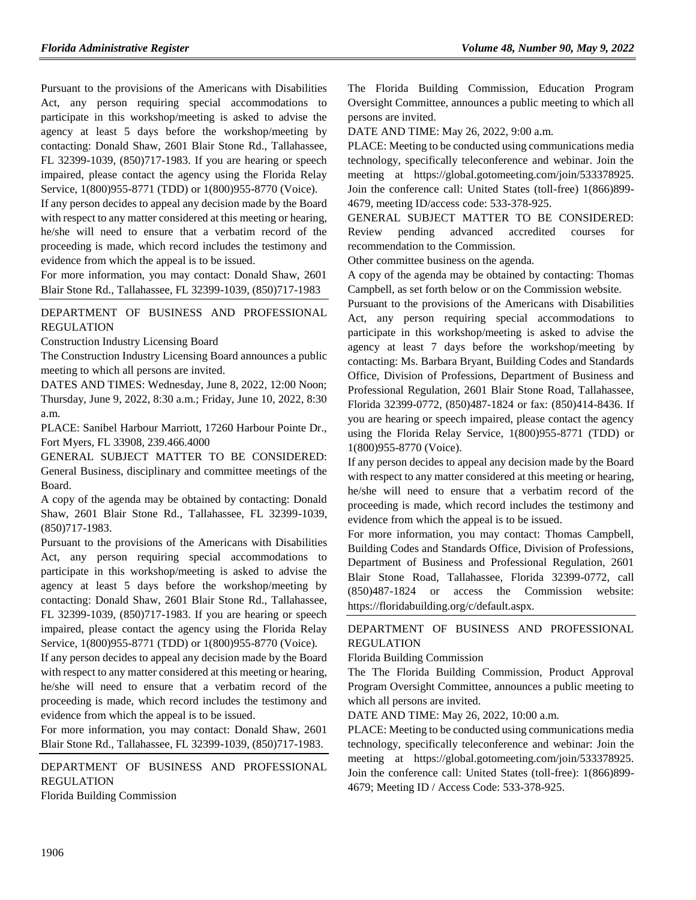Pursuant to the provisions of the Americans with Disabilities Act, any person requiring special accommodations to participate in this workshop/meeting is asked to advise the agency at least 5 days before the workshop/meeting by contacting: Donald Shaw, 2601 Blair Stone Rd., Tallahassee, FL 32399-1039, (850)717-1983. If you are hearing or speech impaired, please contact the agency using the Florida Relay Service, 1(800)955-8771 (TDD) or 1(800)955-8770 (Voice).

If any person decides to appeal any decision made by the Board with respect to any matter considered at this meeting or hearing, he/she will need to ensure that a verbatim record of the proceeding is made, which record includes the testimony and evidence from which the appeal is to be issued.

For more information, you may contact: Donald Shaw, 2601 Blair Stone Rd., Tallahassee, FL 32399-1039, (850)717-1983

[DEPARTMENT OF BUSINESS AND PROFESSIONAL](https://www.flrules.org/gateway/department.asp?id=61)  [REGULATION](https://www.flrules.org/gateway/department.asp?id=61)

[Construction Industry Licensing Board](https://www.flrules.org/gateway/organization.asp?id=274)

The Construction Industry Licensing Board announces a public meeting to which all persons are invited.

DATES AND TIMES: Wednesday, June 8, 2022, 12:00 Noon; Thursday, June 9, 2022, 8:30 a.m.; Friday, June 10, 2022, 8:30 a.m.

PLACE: Sanibel Harbour Marriott, 17260 Harbour Pointe Dr., Fort Myers, FL 33908, 239.466.4000

GENERAL SUBJECT MATTER TO BE CONSIDERED: General Business, disciplinary and committee meetings of the Board.

A copy of the agenda may be obtained by contacting: Donald Shaw, 2601 Blair Stone Rd., Tallahassee, FL 32399-1039, (850)717-1983.

Pursuant to the provisions of the Americans with Disabilities Act, any person requiring special accommodations to participate in this workshop/meeting is asked to advise the agency at least 5 days before the workshop/meeting by contacting: Donald Shaw, 2601 Blair Stone Rd., Tallahassee, FL 32399-1039, (850)717-1983. If you are hearing or speech impaired, please contact the agency using the Florida Relay Service, 1(800)955-8771 (TDD) or 1(800)955-8770 (Voice).

If any person decides to appeal any decision made by the Board with respect to any matter considered at this meeting or hearing, he/she will need to ensure that a verbatim record of the proceeding is made, which record includes the testimony and evidence from which the appeal is to be issued.

For more information, you may contact: Donald Shaw, 2601 Blair Stone Rd., Tallahassee, FL 32399-1039, (850)717-1983.

[DEPARTMENT OF BUSINESS AND PROFESSIONAL](https://www.flrules.org/gateway/department.asp?id=61)  [REGULATION](https://www.flrules.org/gateway/department.asp?id=61)

[Florida Building Commission](https://www.flrules.org/gateway/organization.asp?id=1071)

The Florida Building Commission, Education Program Oversight Committee, announces a public meeting to which all persons are invited.

DATE AND TIME: May 26, 2022, 9:00 a.m.

PLACE: Meeting to be conducted using communications media technology, specifically teleconference and webinar. Join the meeting at https://global.gotomeeting.com/join/533378925. Join the conference call: United States (toll-free) 1(866)899- 4679, meeting ID/access code: 533-378-925.

GENERAL SUBJECT MATTER TO BE CONSIDERED: Review pending advanced accredited courses for recommendation to the Commission.

Other committee business on the agenda.

A copy of the agenda may be obtained by contacting: Thomas Campbell, as set forth below or on the Commission website.

Pursuant to the provisions of the Americans with Disabilities Act, any person requiring special accommodations to participate in this workshop/meeting is asked to advise the agency at least 7 days before the workshop/meeting by contacting: Ms. Barbara Bryant, Building Codes and Standards Office, Division of Professions, Department of Business and Professional Regulation, 2601 Blair Stone Road, Tallahassee, Florida 32399-0772, (850)487-1824 or fax: (850)414-8436. If you are hearing or speech impaired, please contact the agency using the Florida Relay Service, 1(800)955-8771 (TDD) or 1(800)955-8770 (Voice).

If any person decides to appeal any decision made by the Board with respect to any matter considered at this meeting or hearing, he/she will need to ensure that a verbatim record of the proceeding is made, which record includes the testimony and evidence from which the appeal is to be issued.

For more information, you may contact: Thomas Campbell, Building Codes and Standards Office, Division of Professions, Department of Business and Professional Regulation, 2601 Blair Stone Road, Tallahassee, Florida 32399-0772, call (850)487-1824 or access the Commission website: https://floridabuilding.org/c/default.aspx.

## [DEPARTMENT OF BUSINESS AND PROFESSIONAL](https://www.flrules.org/gateway/department.asp?id=61)  [REGULATION](https://www.flrules.org/gateway/department.asp?id=61)

[Florida Building Commission](https://www.flrules.org/gateway/organization.asp?id=1071)

The The Florida Building Commission, Product Approval Program Oversight Committee, announces a public meeting to which all persons are invited.

DATE AND TIME: May 26, 2022, 10:00 a.m.

PLACE: Meeting to be conducted using communications media technology, specifically teleconference and webinar: Join the meeting at https://global.gotomeeting.com/join/533378925. Join the conference call: United States (toll-free): 1(866)899- 4679; Meeting ID / Access Code: 533-378-925.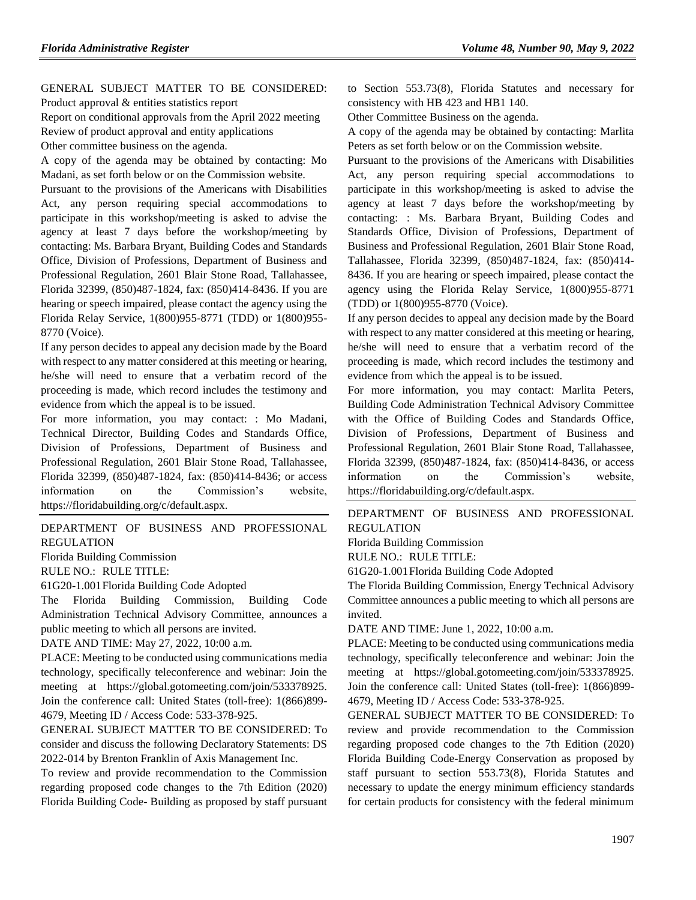#### GENERAL SUBJECT MATTER TO BE CONSIDERED: Product approval & entities statistics report

Report on conditional approvals from the April 2022 meeting Review of product approval and entity applications Other committee business on the agenda.

A copy of the agenda may be obtained by contacting: Mo Madani, as set forth below or on the Commission website.

Pursuant to the provisions of the Americans with Disabilities Act, any person requiring special accommodations to participate in this workshop/meeting is asked to advise the agency at least 7 days before the workshop/meeting by contacting: Ms. Barbara Bryant, Building Codes and Standards Office, Division of Professions, Department of Business and Professional Regulation, 2601 Blair Stone Road, Tallahassee, Florida 32399, (850)487-1824, fax: (850)414-8436. If you are hearing or speech impaired, please contact the agency using the Florida Relay Service, 1(800)955-8771 (TDD) or 1(800)955- 8770 (Voice).

If any person decides to appeal any decision made by the Board with respect to any matter considered at this meeting or hearing, he/she will need to ensure that a verbatim record of the proceeding is made, which record includes the testimony and evidence from which the appeal is to be issued.

For more information, you may contact: : Mo Madani, Technical Director, Building Codes and Standards Office, Division of Professions, Department of Business and Professional Regulation, 2601 Blair Stone Road, Tallahassee, Florida 32399, (850)487-1824, fax: (850)414-8436; or access information on the Commission's website, https://floridabuilding.org/c/default.aspx.

#### [DEPARTMENT OF BUSINESS AND PROFESSIONAL](https://www.flrules.org/gateway/department.asp?id=61)  [REGULATION](https://www.flrules.org/gateway/department.asp?id=61)

[Florida Building Commission](https://www.flrules.org/gateway/organization.asp?id=1071)

RULE NO.: RULE TITLE:

[61G20-1.001F](https://www.flrules.org/gateway/ruleNo.asp?id=61G20-1.001)lorida Building Code Adopted

The Florida Building Commission, Building Code Administration Technical Advisory Committee, announces a public meeting to which all persons are invited.

DATE AND TIME: May 27, 2022, 10:00 a.m.

PLACE: Meeting to be conducted using communications media technology, specifically teleconference and webinar: Join the meeting at https://global.gotomeeting.com/join/533378925. Join the conference call: United States (toll-free): 1(866)899- 4679, Meeting ID / Access Code: 533-378-925.

GENERAL SUBJECT MATTER TO BE CONSIDERED: To consider and discuss the following Declaratory Statements: DS 2022-014 by Brenton Franklin of Axis Management Inc.

To review and provide recommendation to the Commission regarding proposed code changes to the 7th Edition (2020) Florida Building Code- Building as proposed by staff pursuant to Section 553.73(8), Florida Statutes and necessary for consistency with HB 423 and HB1 140.

Other Committee Business on the agenda.

A copy of the agenda may be obtained by contacting: Marlita Peters as set forth below or on the Commission website.

Pursuant to the provisions of the Americans with Disabilities Act, any person requiring special accommodations to participate in this workshop/meeting is asked to advise the agency at least 7 days before the workshop/meeting by contacting: : Ms. Barbara Bryant, Building Codes and Standards Office, Division of Professions, Department of Business and Professional Regulation, 2601 Blair Stone Road, Tallahassee, Florida 32399, (850)487-1824, fax: (850)414- 8436. If you are hearing or speech impaired, please contact the agency using the Florida Relay Service, 1(800)955-8771 (TDD) or 1(800)955-8770 (Voice).

If any person decides to appeal any decision made by the Board with respect to any matter considered at this meeting or hearing, he/she will need to ensure that a verbatim record of the proceeding is made, which record includes the testimony and evidence from which the appeal is to be issued.

For more information, you may contact: Marlita Peters, Building Code Administration Technical Advisory Committee with the Office of Building Codes and Standards Office, Division of Professions, Department of Business and Professional Regulation, 2601 Blair Stone Road, Tallahassee, Florida 32399, (850)487-1824, fax: (850)414-8436, or access information on the Commission's website, https://floridabuilding.org/c/default.aspx.

[DEPARTMENT OF BUSINESS AND PROFESSIONAL](https://www.flrules.org/gateway/department.asp?id=61)  [REGULATION](https://www.flrules.org/gateway/department.asp?id=61)

[Florida Building Commission](https://www.flrules.org/gateway/organization.asp?id=1071)

RULE NO.: RULE TITLE:

[61G20-1.001F](https://www.flrules.org/gateway/ruleNo.asp?id=61G20-1.001)lorida Building Code Adopted

The Florida Building Commission, Energy Technical Advisory Committee announces a public meeting to which all persons are invited.

DATE AND TIME: June 1, 2022, 10:00 a.m.

PLACE: Meeting to be conducted using communications media technology, specifically teleconference and webinar: Join the meeting at https://global.gotomeeting.com/join/533378925. Join the conference call: United States (toll-free): 1(866)899- 4679, Meeting ID / Access Code: 533-378-925.

GENERAL SUBJECT MATTER TO BE CONSIDERED: To review and provide recommendation to the Commission regarding proposed code changes to the 7th Edition (2020) Florida Building Code-Energy Conservation as proposed by staff pursuant to section 553.73(8), Florida Statutes and necessary to update the energy minimum efficiency standards for certain products for consistency with the federal minimum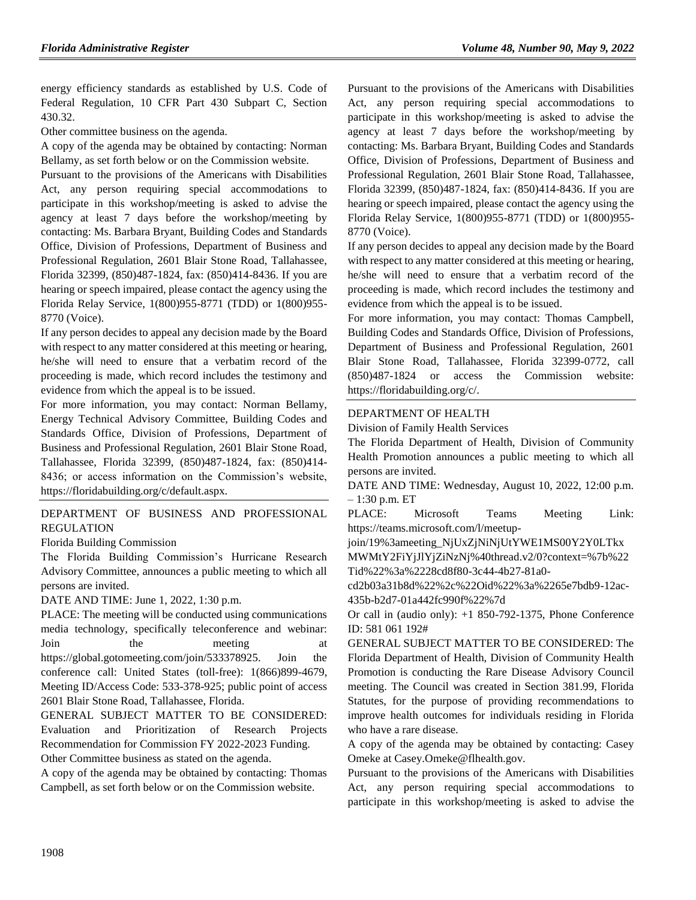energy efficiency standards as established by U.S. Code of Federal Regulation, 10 CFR Part 430 Subpart C, Section 430.32.

Other committee business on the agenda.

A copy of the agenda may be obtained by contacting: Norman Bellamy, as set forth below or on the Commission website.

Pursuant to the provisions of the Americans with Disabilities Act, any person requiring special accommodations to participate in this workshop/meeting is asked to advise the agency at least 7 days before the workshop/meeting by contacting: Ms. Barbara Bryant, Building Codes and Standards Office, Division of Professions, Department of Business and Professional Regulation, 2601 Blair Stone Road, Tallahassee, Florida 32399, (850)487-1824, fax: (850)414-8436. If you are hearing or speech impaired, please contact the agency using the Florida Relay Service, 1(800)955-8771 (TDD) or 1(800)955- 8770 (Voice).

If any person decides to appeal any decision made by the Board with respect to any matter considered at this meeting or hearing, he/she will need to ensure that a verbatim record of the proceeding is made, which record includes the testimony and evidence from which the appeal is to be issued.

For more information, you may contact: Norman Bellamy, Energy Technical Advisory Committee, Building Codes and Standards Office, Division of Professions, Department of Business and Professional Regulation, 2601 Blair Stone Road, Tallahassee, Florida 32399, (850)487-1824, fax: (850)414- 8436; or access information on the Commission's website, https://floridabuilding.org/c/default.aspx.

## [DEPARTMENT OF BUSINESS AND PROFESSIONAL](https://www.flrules.org/gateway/department.asp?id=61)  [REGULATION](https://www.flrules.org/gateway/department.asp?id=61)

#### [Florida Building Commission](https://www.flrules.org/gateway/organization.asp?id=1071)

The Florida Building Commission's Hurricane Research Advisory Committee, announces a public meeting to which all persons are invited.

DATE AND TIME: June 1, 2022, 1:30 p.m.

PLACE: The meeting will be conducted using communications media technology, specifically teleconference and webinar: Join the meeting at https://global.gotomeeting.com/join/533378925. Join the conference call: United States (toll-free): 1(866)899-4679, Meeting ID/Access Code: 533-378-925; public point of access 2601 Blair Stone Road, Tallahassee, Florida.

GENERAL SUBJECT MATTER TO BE CONSIDERED: Evaluation and Prioritization of Research Projects Recommendation for Commission FY 2022-2023 Funding. Other Committee business as stated on the agenda.

A copy of the agenda may be obtained by contacting: Thomas Campbell, as set forth below or on the Commission website.

Pursuant to the provisions of the Americans with Disabilities Act, any person requiring special accommodations to participate in this workshop/meeting is asked to advise the agency at least 7 days before the workshop/meeting by contacting: Ms. Barbara Bryant, Building Codes and Standards Office, Division of Professions, Department of Business and Professional Regulation, 2601 Blair Stone Road, Tallahassee, Florida 32399, (850)487-1824, fax: (850)414-8436. If you are hearing or speech impaired, please contact the agency using the Florida Relay Service, 1(800)955-8771 (TDD) or 1(800)955- 8770 (Voice).

If any person decides to appeal any decision made by the Board with respect to any matter considered at this meeting or hearing, he/she will need to ensure that a verbatim record of the proceeding is made, which record includes the testimony and evidence from which the appeal is to be issued.

For more information, you may contact: Thomas Campbell, Building Codes and Standards Office, Division of Professions, Department of Business and Professional Regulation, 2601 Blair Stone Road, Tallahassee, Florida 32399-0772, call (850)487-1824 or access the Commission website: https://floridabuilding.org/c/.

# [DEPARTMENT OF HEALTH](https://www.flrules.org/gateway/department.asp?id=64)

### [Division of Family Health Services](https://www.flrules.org/gateway/organization.asp?id=336)

The Florida Department of Health, Division of Community Health Promotion announces a public meeting to which all persons are invited.

DATE AND TIME: Wednesday, August 10, 2022, 12:00 p.m. – 1:30 p.m. ET

PLACE: Microsoft Teams Meeting Link: https://teams.microsoft.com/l/meetup-

join/19%3ameeting\_NjUxZjNiNjUtYWE1MS00Y2Y0LTkx

MWMtY2FiYjJlYjZiNzNj%40thread.v2/0?context=%7b%22 Tid%22%3a%2228cd8f80-3c44-4b27-81a0-

cd2b03a31b8d%22%2c%22Oid%22%3a%2265e7bdb9-12ac-435b-b2d7-01a442fc990f%22%7d

Or call in (audio only): +1 850-792-1375, Phone Conference ID: 581 061 192#

GENERAL SUBJECT MATTER TO BE CONSIDERED: The Florida Department of Health, Division of Community Health Promotion is conducting the Rare Disease Advisory Council meeting. The Council was created in Section 381.99, Florida Statutes, for the purpose of providing recommendations to improve health outcomes for individuals residing in Florida who have a rare disease.

A copy of the agenda may be obtained by contacting: Casey Omeke at Casey.Omeke@flhealth.gov.

Pursuant to the provisions of the Americans with Disabilities Act, any person requiring special accommodations to participate in this workshop/meeting is asked to advise the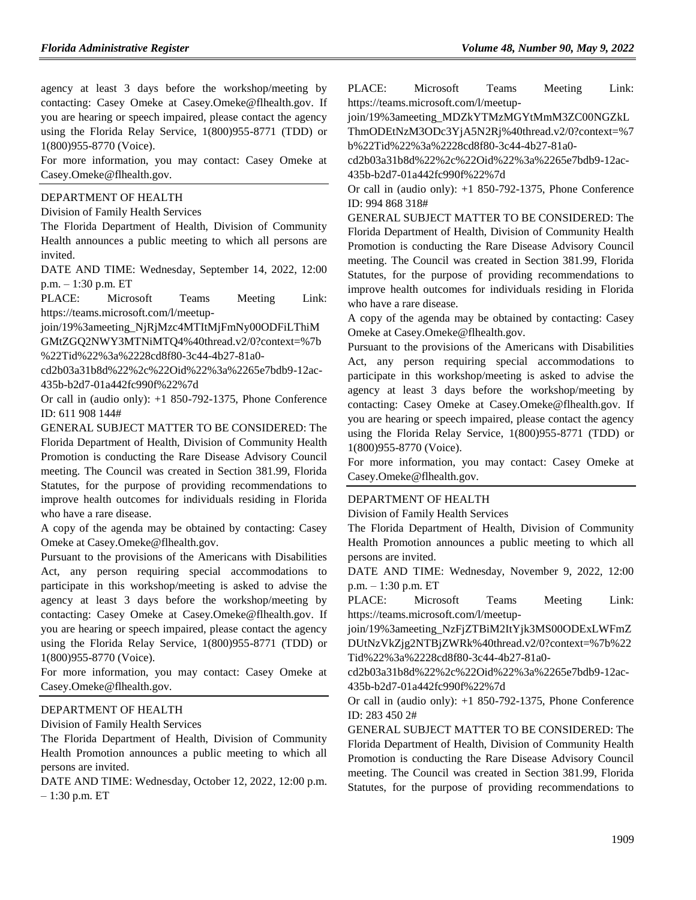agency at least 3 days before the workshop/meeting by contacting: Casey Omeke at Casey.Omeke@flhealth.gov. If you are hearing or speech impaired, please contact the agency using the Florida Relay Service, 1(800)955-8771 (TDD) or 1(800)955-8770 (Voice).

For more information, you may contact: Casey Omeke at Casey.Omeke@flhealth.gov.

#### [DEPARTMENT OF HEALTH](https://www.flrules.org/gateway/department.asp?id=64)

[Division of Family Health Services](https://www.flrules.org/gateway/organization.asp?id=336)

The Florida Department of Health, Division of Community Health announces a public meeting to which all persons are invited.

DATE AND TIME: Wednesday, September 14, 2022, 12:00 p.m. – 1:30 p.m. ET

PLACE: Microsoft Teams Meeting Link: https://teams.microsoft.com/l/meetup-

join/19%3ameeting\_NjRjMzc4MTItMjFmNy00ODFiLThiM

GMtZGQ2NWY3MTNiMTQ4%40thread.v2/0?context=%7b %22Tid%22%3a%2228cd8f80-3c44-4b27-81a0-

cd2b03a31b8d%22%2c%22Oid%22%3a%2265e7bdb9-12ac-435b-b2d7-01a442fc990f%22%7d

Or call in (audio only): +1 850-792-1375, Phone Conference ID: 611 908 144#

GENERAL SUBJECT MATTER TO BE CONSIDERED: The Florida Department of Health, Division of Community Health Promotion is conducting the Rare Disease Advisory Council meeting. The Council was created in Section 381.99, Florida Statutes, for the purpose of providing recommendations to improve health outcomes for individuals residing in Florida who have a rare disease.

A copy of the agenda may be obtained by contacting: Casey Omeke at Casey.Omeke@flhealth.gov.

Pursuant to the provisions of the Americans with Disabilities Act, any person requiring special accommodations to participate in this workshop/meeting is asked to advise the agency at least 3 days before the workshop/meeting by contacting: Casey Omeke at Casey.Omeke@flhealth.gov. If you are hearing or speech impaired, please contact the agency using the Florida Relay Service, 1(800)955-8771 (TDD) or 1(800)955-8770 (Voice).

For more information, you may contact: Casey Omeke at Casey.Omeke@flhealth.gov.

#### [DEPARTMENT OF HEALTH](https://www.flrules.org/gateway/department.asp?id=64)

[Division of Family Health Services](https://www.flrules.org/gateway/organization.asp?id=336)

The Florida Department of Health, Division of Community Health Promotion announces a public meeting to which all persons are invited.

DATE AND TIME: Wednesday, October 12, 2022, 12:00 p.m. – 1:30 p.m. ET

PLACE: Microsoft Teams Meeting Link: https://teams.microsoft.com/l/meetup-

join/19%3ameeting\_MDZkYTMzMGYtMmM3ZC00NGZkL

ThmODEtNzM3ODc3YjA5N2Rj%40thread.v2/0?context=%7 b%22Tid%22%3a%2228cd8f80-3c44-4b27-81a0-

cd2b03a31b8d%22%2c%22Oid%22%3a%2265e7bdb9-12ac-435b-b2d7-01a442fc990f%22%7d

Or call in (audio only): +1 850-792-1375, Phone Conference ID: 994 868 318#

GENERAL SUBJECT MATTER TO BE CONSIDERED: The Florida Department of Health, Division of Community Health Promotion is conducting the Rare Disease Advisory Council meeting. The Council was created in Section 381.99, Florida Statutes, for the purpose of providing recommendations to improve health outcomes for individuals residing in Florida who have a rare disease.

A copy of the agenda may be obtained by contacting: Casey Omeke at Casey.Omeke@flhealth.gov.

Pursuant to the provisions of the Americans with Disabilities Act, any person requiring special accommodations to participate in this workshop/meeting is asked to advise the agency at least 3 days before the workshop/meeting by contacting: Casey Omeke at Casey.Omeke@flhealth.gov. If you are hearing or speech impaired, please contact the agency using the Florida Relay Service, 1(800)955-8771 (TDD) or 1(800)955-8770 (Voice).

For more information, you may contact: Casey Omeke at Casey.Omeke@flhealth.gov.

#### [DEPARTMENT OF HEALTH](https://www.flrules.org/gateway/department.asp?id=64)

[Division of Family Health Services](https://www.flrules.org/gateway/organization.asp?id=336)

The Florida Department of Health, Division of Community Health Promotion announces a public meeting to which all persons are invited.

DATE AND TIME: Wednesday, November 9, 2022, 12:00 p.m. – 1:30 p.m. ET

PLACE: Microsoft Teams Meeting Link: https://teams.microsoft.com/l/meetup-

join/19%3ameeting\_NzFjZTBiM2ItYjk3MS00ODExLWFmZ DUtNzVkZjg2NTBjZWRk%40thread.v2/0?context=%7b%22 Tid%22%3a%2228cd8f80-3c44-4b27-81a0-

cd2b03a31b8d%22%2c%22Oid%22%3a%2265e7bdb9-12ac-435b-b2d7-01a442fc990f%22%7d

Or call in (audio only): +1 850-792-1375, Phone Conference ID: 283 450 2#

GENERAL SUBJECT MATTER TO BE CONSIDERED: The Florida Department of Health, Division of Community Health Promotion is conducting the Rare Disease Advisory Council meeting. The Council was created in Section 381.99, Florida Statutes, for the purpose of providing recommendations to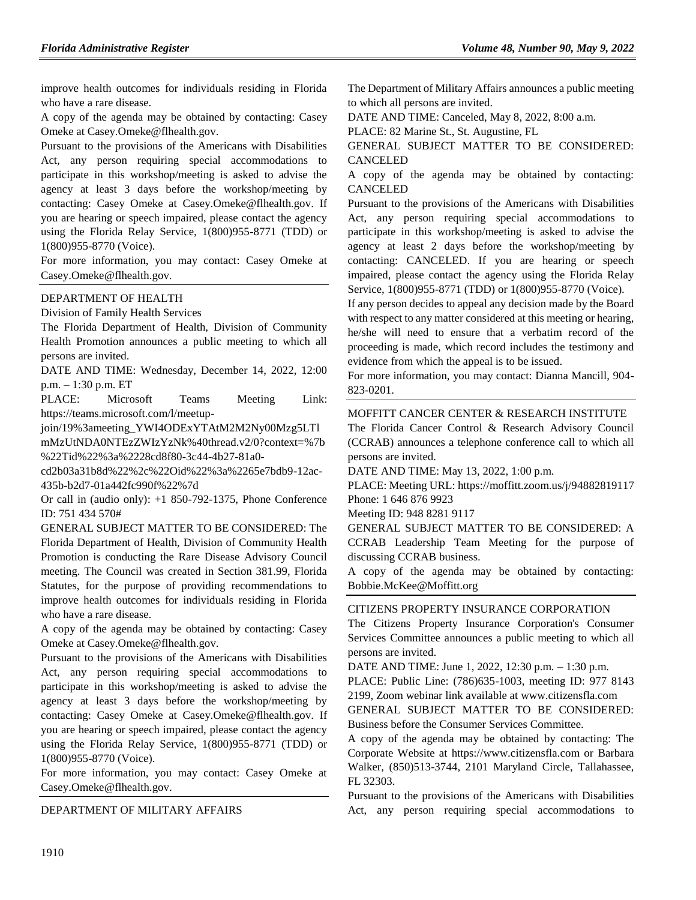improve health outcomes for individuals residing in Florida who have a rare disease.

A copy of the agenda may be obtained by contacting: Casey Omeke at Casey.Omeke@flhealth.gov.

Pursuant to the provisions of the Americans with Disabilities Act, any person requiring special accommodations to participate in this workshop/meeting is asked to advise the agency at least 3 days before the workshop/meeting by contacting: Casey Omeke at Casey.Omeke@flhealth.gov. If you are hearing or speech impaired, please contact the agency using the Florida Relay Service, 1(800)955-8771 (TDD) or 1(800)955-8770 (Voice).

For more information, you may contact: Casey Omeke at Casey.Omeke@flhealth.gov.

#### [DEPARTMENT OF HEALTH](https://www.flrules.org/gateway/department.asp?id=64)

[Division of Family Health Services](https://www.flrules.org/gateway/organization.asp?id=336)

The Florida Department of Health, Division of Community Health Promotion announces a public meeting to which all persons are invited.

DATE AND TIME: Wednesday, December 14, 2022, 12:00 p.m. – 1:30 p.m. ET

PLACE: Microsoft Teams Meeting Link: https://teams.microsoft.com/l/meetup-

join/19%3ameeting\_YWI4ODExYTAtM2M2Ny00Mzg5LTl

mMzUtNDA0NTEzZWIzYzNk%40thread.v2/0?context=%7b %22Tid%22%3a%2228cd8f80-3c44-4b27-81a0-

cd2b03a31b8d%22%2c%22Oid%22%3a%2265e7bdb9-12ac-435b-b2d7-01a442fc990f%22%7d

Or call in (audio only): +1 850-792-1375, Phone Conference ID: 751 434 570#

GENERAL SUBJECT MATTER TO BE CONSIDERED: The Florida Department of Health, Division of Community Health Promotion is conducting the Rare Disease Advisory Council meeting. The Council was created in Section 381.99, Florida Statutes, for the purpose of providing recommendations to improve health outcomes for individuals residing in Florida who have a rare disease.

A copy of the agenda may be obtained by contacting: Casey Omeke at Casey.Omeke@flhealth.gov.

Pursuant to the provisions of the Americans with Disabilities Act, any person requiring special accommodations to participate in this workshop/meeting is asked to advise the agency at least 3 days before the workshop/meeting by contacting: Casey Omeke at Casey.Omeke@flhealth.gov. If you are hearing or speech impaired, please contact the agency using the Florida Relay Service, 1(800)955-8771 (TDD) or 1(800)955-8770 (Voice).

For more information, you may contact: Casey Omeke at Casey.Omeke@flhealth.gov.

#### [DEPARTMENT OF MILITARY AFFAIRS](https://www.flrules.org/gateway/department.asp?id=70)

The Department of Military Affairs announces a public meeting to which all persons are invited.

DATE AND TIME: Canceled, May 8, 2022, 8:00 a.m.

PLACE: 82 Marine St., St. Augustine, FL

GENERAL SUBJECT MATTER TO BE CONSIDERED: CANCELED

A copy of the agenda may be obtained by contacting: CANCELED

Pursuant to the provisions of the Americans with Disabilities Act, any person requiring special accommodations to participate in this workshop/meeting is asked to advise the agency at least 2 days before the workshop/meeting by contacting: CANCELED. If you are hearing or speech impaired, please contact the agency using the Florida Relay Service, 1(800)955-8771 (TDD) or 1(800)955-8770 (Voice).

If any person decides to appeal any decision made by the Board with respect to any matter considered at this meeting or hearing, he/she will need to ensure that a verbatim record of the proceeding is made, which record includes the testimony and evidence from which the appeal is to be issued.

For more information, you may contact: Dianna Mancill, 904- 823-0201.

### [MOFFITT CANCER CENTER & RESEARCH INSTITUTE](https://www.flrules.org/gateway/organization.asp?id=579)

The Florida Cancer Control & Research Advisory Council (CCRAB) announces a telephone conference call to which all persons are invited.

DATE AND TIME: May 13, 2022, 1:00 p.m.

PLACE: Meeting URL: https://moffitt.zoom.us/j/94882819117 Phone: 1 646 876 9923

Meeting ID: 948 8281 9117

GENERAL SUBJECT MATTER TO BE CONSIDERED: A CCRAB Leadership Team Meeting for the purpose of discussing CCRAB business.

A copy of the agenda may be obtained by contacting: Bobbie.McKee@Moffitt.org

#### [CITIZENS PROPERTY INSURANCE CORPORATION](https://www.flrules.org/gateway/organization.asp?id=591)

The Citizens Property Insurance Corporation's Consumer Services Committee announces a public meeting to which all persons are invited.

DATE AND TIME: June 1, 2022, 12:30 p.m. – 1:30 p.m.

PLACE: Public Line: (786)635-1003, meeting ID: 977 8143 2199, Zoom webinar link available at www.citizensfla.com

GENERAL SUBJECT MATTER TO BE CONSIDERED: Business before the Consumer Services Committee.

A copy of the agenda may be obtained by contacting: The Corporate Website at https://www.citizensfla.com or Barbara Walker, (850)513-3744, 2101 Maryland Circle, Tallahassee, FL 32303.

Pursuant to the provisions of the Americans with Disabilities Act, any person requiring special accommodations to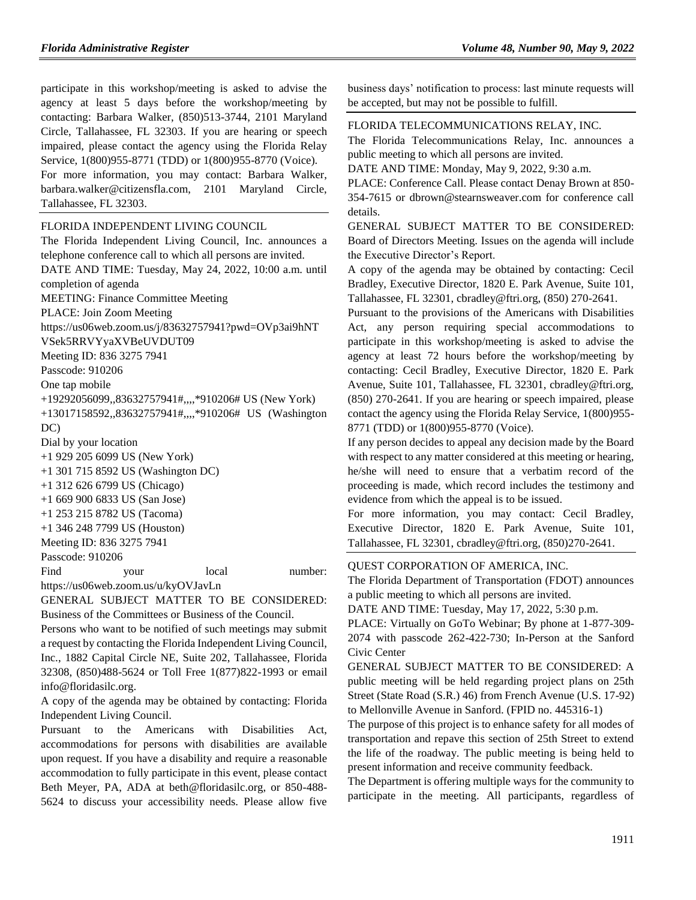Tallahassee, FL 32303.

participate in this workshop/meeting is asked to advise the agency at least 5 days before the workshop/meeting by contacting: Barbara Walker, (850)513-3744, 2101 Maryland Circle, Tallahassee, FL 32303. If you are hearing or speech impaired, please contact the agency using the Florida Relay Service, 1(800)955-8771 (TDD) or 1(800)955-8770 (Voice). For more information, you may contact: Barbara Walker, barbara.walker@citizensfla.com, 2101 Maryland Circle,

[FLORIDA INDEPENDENT LIVING COUNCIL](https://www.flrules.org/gateway/organization.asp?id=616)

The Florida Independent Living Council, Inc. announces a telephone conference call to which all persons are invited. DATE AND TIME: Tuesday, May 24, 2022, 10:00 a.m. until completion of agenda MEETING: Finance Committee Meeting PLACE: Join Zoom Meeting https://us06web.zoom.us/j/83632757941?pwd=OVp3ai9hNT VSek5RRVYyaXVBeUVDUT09 Meeting ID: 836 3275 7941 Passcode: 910206 One tap mobile +19292056099,,83632757941#,,,,\*910206# US (New York) +13017158592,,83632757941#,,,,\*910206# US (Washington DC) Dial by your location +1 929 205 6099 US (New York) +1 301 715 8592 US (Washington DC) +1 312 626 6799 US (Chicago) +1 669 900 6833 US (San Jose) +1 253 215 8782 US (Tacoma) +1 346 248 7799 US (Houston) Meeting ID: 836 3275 7941 Passcode: 910206 Find your local number: https://us06web.zoom.us/u/kyOVJavLn

GENERAL SUBJECT MATTER TO BE CONSIDERED: Business of the Committees or Business of the Council.

Persons who want to be notified of such meetings may submit a request by contacting the Florida Independent Living Council, Inc., 1882 Capital Circle NE, Suite 202, Tallahassee, Florida 32308, (850)488-5624 or Toll Free 1(877)822-1993 or email info@floridasilc.org.

A copy of the agenda may be obtained by contacting: Florida Independent Living Council.

Pursuant to the Americans with Disabilities Act, accommodations for persons with disabilities are available upon request. If you have a disability and require a reasonable accommodation to fully participate in this event, please contact Beth Meyer, PA, ADA at beth@floridasilc.org, or 850-488- 5624 to discuss your accessibility needs. Please allow five

business days' notification to process: last minute requests will be accepted, but may not be possible to fulfill.

#### [FLORIDA TELECOMMUNICATIONS RELAY, INC.](https://www.flrules.org/gateway/organization.asp?id=693)

The Florida Telecommunications Relay, Inc. announces a public meeting to which all persons are invited.

DATE AND TIME: Monday, May 9, 2022, 9:30 a.m.

PLACE: Conference Call. Please contact Denay Brown at 850- 354-7615 or dbrown@stearnsweaver.com for conference call details.

GENERAL SUBJECT MATTER TO BE CONSIDERED: Board of Directors Meeting. Issues on the agenda will include the Executive Director's Report.

A copy of the agenda may be obtained by contacting: Cecil Bradley, Executive Director, 1820 E. Park Avenue, Suite 101, Tallahassee, FL 32301, cbradley@ftri.org, (850) 270-2641.

Pursuant to the provisions of the Americans with Disabilities Act, any person requiring special accommodations to participate in this workshop/meeting is asked to advise the agency at least 72 hours before the workshop/meeting by contacting: Cecil Bradley, Executive Director, 1820 E. Park Avenue, Suite 101, Tallahassee, FL 32301, cbradley@ftri.org, (850) 270-2641. If you are hearing or speech impaired, please contact the agency using the Florida Relay Service, 1(800)955- 8771 (TDD) or 1(800)955-8770 (Voice).

If any person decides to appeal any decision made by the Board with respect to any matter considered at this meeting or hearing, he/she will need to ensure that a verbatim record of the proceeding is made, which record includes the testimony and evidence from which the appeal is to be issued.

For more information, you may contact: Cecil Bradley, Executive Director, 1820 E. Park Avenue, Suite 101, Tallahassee, FL 32301, cbradley@ftri.org, (850)270-2641.

#### [QUEST CORPORATION OF AMERICA, INC.](https://www.flrules.org/gateway/organization.asp?id=1019)

The Florida Department of Transportation (FDOT) announces a public meeting to which all persons are invited.

DATE AND TIME: Tuesday, May 17, 2022, 5:30 p.m.

PLACE: Virtually on GoTo Webinar; By phone at 1-877-309- 2074 with passcode 262-422-730; In-Person at the Sanford Civic Center

GENERAL SUBJECT MATTER TO BE CONSIDERED: A public meeting will be held regarding project plans on 25th Street (State Road (S.R.) 46) from French Avenue (U.S. 17-92) to Mellonville Avenue in Sanford. (FPID no. 445316-1)

The purpose of this project is to enhance safety for all modes of transportation and repave this section of 25th Street to extend the life of the roadway. The public meeting is being held to present information and receive community feedback.

The Department is offering multiple ways for the community to participate in the meeting. All participants, regardless of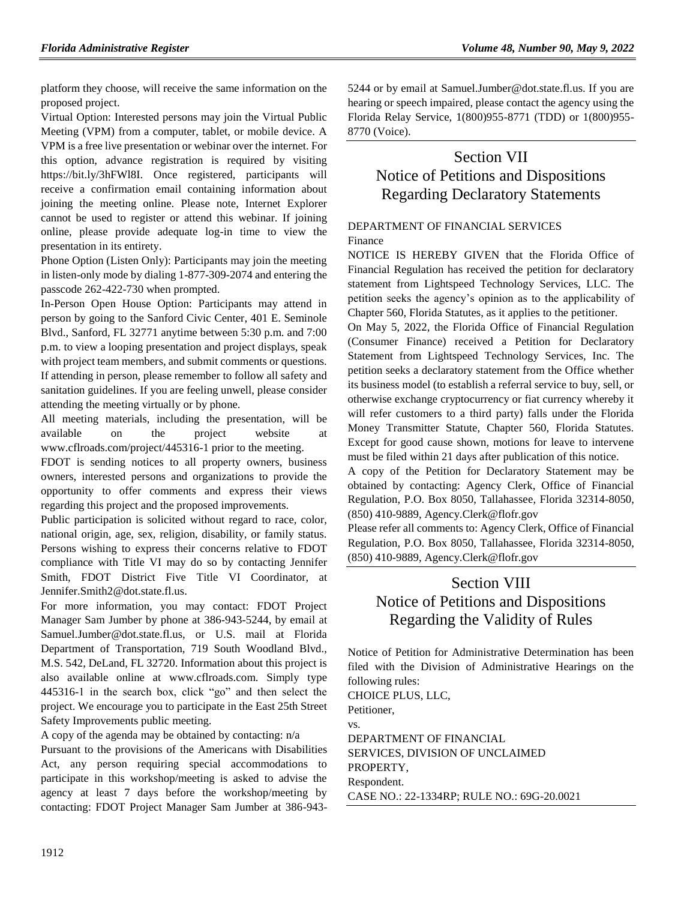platform they choose, will receive the same information on the proposed project.

Virtual Option: Interested persons may join the Virtual Public Meeting (VPM) from a computer, tablet, or mobile device. A VPM is a free live presentation or webinar over the internet. For this option, advance registration is required by visiting https://bit.ly/3hFWl8I. Once registered, participants will receive a confirmation email containing information about joining the meeting online. Please note, Internet Explorer cannot be used to register or attend this webinar. If joining online, please provide adequate log-in time to view the presentation in its entirety.

Phone Option (Listen Only): Participants may join the meeting in listen-only mode by dialing 1-877-309-2074 and entering the passcode 262-422-730 when prompted.

In-Person Open House Option: Participants may attend in person by going to the Sanford Civic Center, 401 E. Seminole Blvd., Sanford, FL 32771 anytime between 5:30 p.m. and 7:00 p.m. to view a looping presentation and project displays, speak with project team members, and submit comments or questions. If attending in person, please remember to follow all safety and sanitation guidelines. If you are feeling unwell, please consider attending the meeting virtually or by phone.

All meeting materials, including the presentation, will be available on the project website at www.cflroads.com/project/445316-1 prior to the meeting.

FDOT is sending notices to all property owners, business owners, interested persons and organizations to provide the opportunity to offer comments and express their views regarding this project and the proposed improvements.

Public participation is solicited without regard to race, color, national origin, age, sex, religion, disability, or family status. Persons wishing to express their concerns relative to FDOT compliance with Title VI may do so by contacting Jennifer Smith, FDOT District Five Title VI Coordinator, at Jennifer.Smith2@dot.state.fl.us.

For more information, you may contact: FDOT Project Manager Sam Jumber by phone at 386-943-5244, by email at Samuel.Jumber@dot.state.fl.us, or U.S. mail at Florida Department of Transportation, 719 South Woodland Blvd., M.S. 542, DeLand, FL 32720. Information about this project is also available online at www.cflroads.com. Simply type 445316-1 in the search box, click "go" and then select the project. We encourage you to participate in the East 25th Street Safety Improvements public meeting.

A copy of the agenda may be obtained by contacting: n/a

Pursuant to the provisions of the Americans with Disabilities Act, any person requiring special accommodations to participate in this workshop/meeting is asked to advise the agency at least 7 days before the workshop/meeting by contacting: FDOT Project Manager Sam Jumber at 386-9435244 or by email at Samuel.Jumber@dot.state.fl.us. If you are hearing or speech impaired, please contact the agency using the Florida Relay Service, 1(800)955-8771 (TDD) or 1(800)955- 8770 (Voice).

# Section VII Notice of Petitions and Dispositions Regarding Declaratory Statements

## [DEPARTMENT OF FINANCIAL SERVICES](https://www.flrules.org/gateway/department.asp?id=69) [Finance](https://www.flrules.org/gateway/organization.asp?id=524)

NOTICE IS HEREBY GIVEN that the Florida Office of Financial Regulation has received the petition for declaratory statement from Lightspeed Technology Services, LLC. The petition seeks the agency's opinion as to the applicability of Chapter 560, Florida Statutes, as it applies to the petitioner.

On May 5, 2022, the Florida Office of Financial Regulation (Consumer Finance) received a Petition for Declaratory Statement from Lightspeed Technology Services, Inc. The petition seeks a declaratory statement from the Office whether its business model (to establish a referral service to buy, sell, or otherwise exchange cryptocurrency or fiat currency whereby it will refer customers to a third party) falls under the Florida Money Transmitter Statute, Chapter 560, Florida Statutes. Except for good cause shown, motions for leave to intervene must be filed within 21 days after publication of this notice.

A copy of the Petition for Declaratory Statement may be obtained by contacting: Agency Clerk, Office of Financial Regulation, P.O. Box 8050, Tallahassee, Florida 32314-8050, (850) 410-9889, Agency.Clerk@flofr.gov

Please refer all comments to: Agency Clerk, Office of Financial Regulation, P.O. Box 8050, Tallahassee, Florida 32314-8050, (850) 410-9889, Agency.Clerk@flofr.gov

# Section VIII Notice of Petitions and Dispositions Regarding the Validity of Rules

Notice of Petition for Administrative Determination has been filed with the Division of Administrative Hearings on the following rules:

CHOICE PLUS, LLC, Petitioner, vs. DEPARTMENT OF FINANCIAL SERVICES, DIVISION OF UNCLAIMED PROPERTY, Respondent. CASE NO.: 22-1334RP; RULE NO.: 69G-20.0021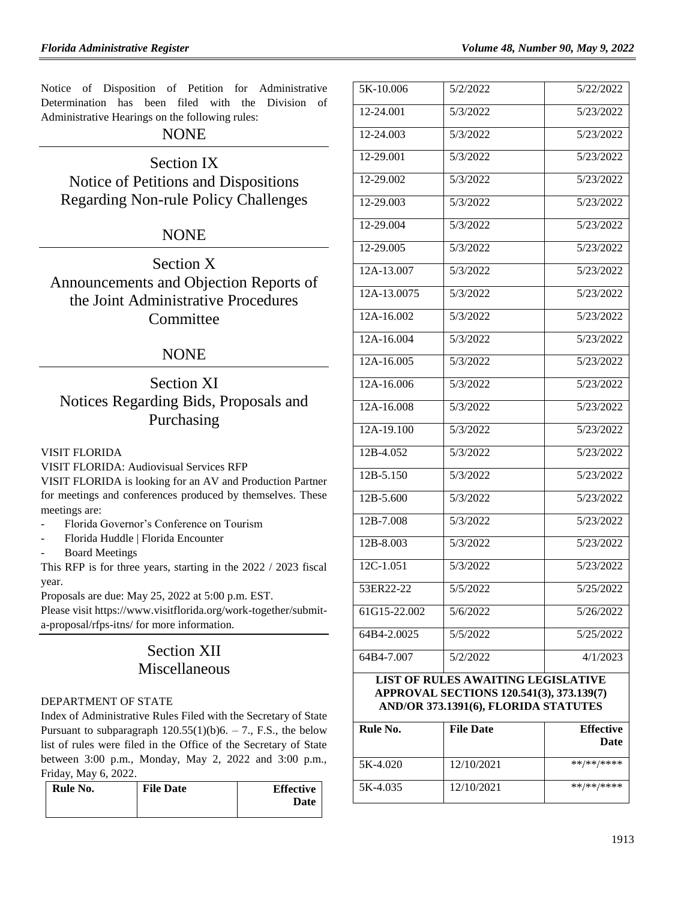Notice of Disposition of Petition for Administrative Determination has been filed with the Division of Administrative Hearings on the following rules:

## NONE

Section IX Notice of Petitions and Dispositions Regarding Non-rule Policy Challenges

# NONE

Section X Announcements and Objection Reports of the Joint Administrative Procedures **Committee** 

## NONE

# Section XI Notices Regarding Bids, Proposals and Purchasing

## [VISIT FLORIDA](https://www.flrules.org/gateway/organization.asp?id=767)

VISIT FLORIDA: Audiovisual Services RFP VISIT FLORIDA is looking for an AV and Production Partner for meetings and conferences produced by themselves. These meetings are:

- Florida Governor's Conference on Tourism
- Florida Huddle | Florida Encounter
- Board Meetings

This RFP is for three years, starting in the 2022 / 2023 fiscal year.

Proposals are due: May 25, 2022 at 5:00 p.m. EST.

Please visit https://www.visitflorida.org/work-together/submita-proposal/rfps-itns/ for more information.

# Section XII Miscellaneous

#### [DEPARTMENT OF STATE](https://www.flrules.org/gateway/department.asp?id=1)

Index of Administrative Rules Filed with the Secretary of State Pursuant to subparagraph  $120.55(1)(b)6. - 7$ ., F.S., the below list of rules were filed in the Office of the Secretary of State between 3:00 p.m., Monday, May 2, 2022 and 3:00 p.m., Friday, May 6, 2022.

| Rule No. | <b>File Date</b> | <b>Effective</b> |
|----------|------------------|------------------|
|          |                  | Date             |
|          |                  |                  |

| 5K-10.006                                 | 5/2/2022 | 5/22/2022 |
|-------------------------------------------|----------|-----------|
| 12-24.001                                 | 5/3/2022 | 5/23/2022 |
| 12-24.003                                 | 5/3/2022 | 5/23/2022 |
| 12-29.001                                 | 5/3/2022 | 5/23/2022 |
| 12-29.002                                 | 5/3/2022 | 5/23/2022 |
| 12-29.003                                 | 5/3/2022 | 5/23/2022 |
| 12-29.004                                 | 5/3/2022 | 5/23/2022 |
| 12-29.005                                 | 5/3/2022 | 5/23/2022 |
| 12A-13.007                                | 5/3/2022 | 5/23/2022 |
| 12A-13.0075                               | 5/3/2022 | 5/23/2022 |
| 12A-16.002                                | 5/3/2022 | 5/23/2022 |
| 12A-16.004                                | 5/3/2022 | 5/23/2022 |
| 12A-16.005                                | 5/3/2022 | 5/23/2022 |
| 12A-16.006                                | 5/3/2022 | 5/23/2022 |
| 12A-16.008                                | 5/3/2022 | 5/23/2022 |
| $12A-19.100$                              | 5/3/2022 | 5/23/2022 |
| 12B-4.052                                 | 5/3/2022 | 5/23/2022 |
| 12B-5.150                                 | 5/3/2022 | 5/23/2022 |
| $12B - 5.600$                             | 5/3/2022 | 5/23/2022 |
| 12B-7.008                                 | 5/3/2022 | 5/23/2022 |
| 12B-8.003                                 | 5/3/2022 | 5/23/2022 |
| 12C-1.051                                 | 5/3/2022 | 5/23/2022 |
| 53ER22-22                                 | 5/5/2022 | 5/25/2022 |
| 61G15-22.002                              | 5/6/2022 | 5/26/2022 |
| 64B4-2.0025                               | 5/5/2022 | 5/25/2022 |
| 64B4-7.007                                | 5/2/2022 | 4/1/2023  |
| <b>LIST OF RULES AWAITING LEGISLATIVE</b> |          |           |

# **APPROVAL SECTIONS 120.541(3), 373.139(7) AND/OR 373.1391(6), FLORIDA STATUTES**

| Rule No. | <b>File Date</b> | <b>Effective</b><br>Date |
|----------|------------------|--------------------------|
| 5K-4.020 | 12/10/2021       | **/**/****               |
| 5K-4.035 | 12/10/2021       | **/**/****               |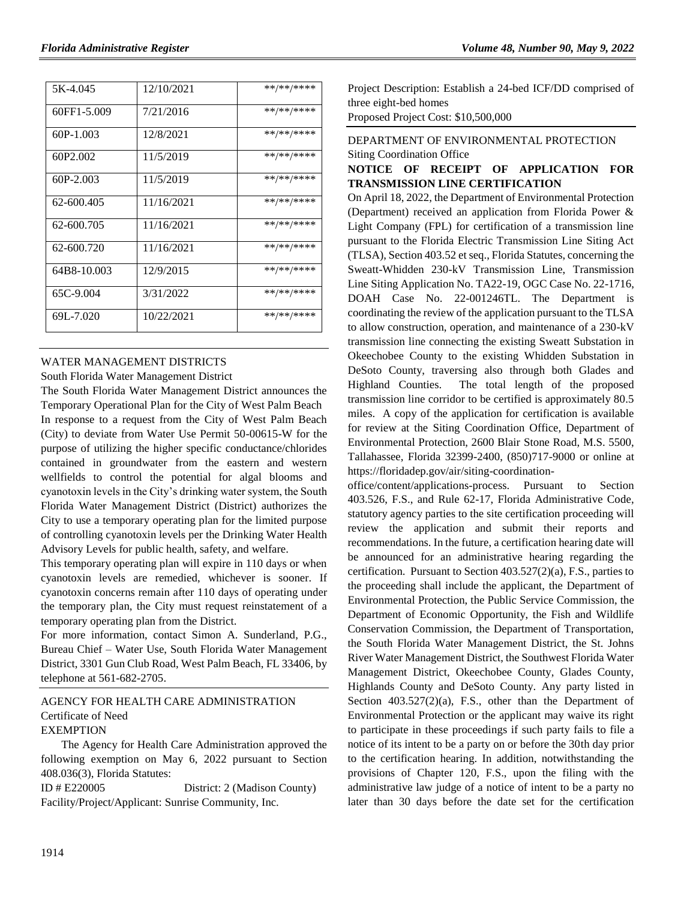| 5K-4.045    | 12/10/2021 | **/**/**** |
|-------------|------------|------------|
| 60FF1-5.009 | 7/21/2016  | **/**/**** |
| 60P-1.003   | 12/8/2021  | **/**/**** |
| 60P2.002    | 11/5/2019  | **/**/**** |
| 60P-2.003   | 11/5/2019  | **/**/**** |
| 62-600.405  | 11/16/2021 | **/**/**** |
| 62-600.705  | 11/16/2021 | **/**/**** |
| 62-600.720  | 11/16/2021 | **/**/**** |
| 64B8-10.003 | 12/9/2015  | **/**/**** |
| 65C-9.004   | 3/31/2022  | **/**/**** |
| 69L-7.020   | 10/22/2021 | **/**/**** |

#### [WATER MANAGEMENT DISTRICTS](https://www.flrules.org/gateway/department.asp?id=40)

[South Florida Water Management District](https://www.flrules.org/gateway/organization.asp?id=124)

The South Florida Water Management District announces the Temporary Operational Plan for the City of West Palm Beach In response to a request from the City of West Palm Beach (City) to deviate from Water Use Permit 50-00615-W for the purpose of utilizing the higher specific conductance/chlorides contained in groundwater from the eastern and western wellfields to control the potential for algal blooms and cyanotoxin levels in the City's drinking water system, the South Florida Water Management District (District) authorizes the City to use a temporary operating plan for the limited purpose of controlling cyanotoxin levels per the Drinking Water Health Advisory Levels for public health, safety, and welfare.

This temporary operating plan will expire in 110 days or when cyanotoxin levels are remedied, whichever is sooner. If cyanotoxin concerns remain after 110 days of operating under the temporary plan, the City must request reinstatement of a temporary operating plan from the District.

For more information, contact Simon A. Sunderland, P.G., Bureau Chief – Water Use, South Florida Water Management District, 3301 Gun Club Road, West Palm Beach, FL 33406, by telephone at 561-682-2705.

#### [AGENCY FOR HEALTH CARE ADMINISTRATION](https://www.flrules.org/gateway/department.asp?id=59) [Certificate of Need](https://www.flrules.org/gateway/organization.asp?id=188) **EXEMPTION**

The Agency for Health Care Administration approved the following exemption on May 6, 2022 pursuant to Section 408.036(3), Florida Statutes:

ID # E220005 District: 2 (Madison County) Facility/Project/Applicant: Sunrise Community, Inc.

Project Description: Establish a 24-bed ICF/DD comprised of three eight-bed homes

Proposed Project Cost: \$10,500,000

## [DEPARTMENT OF ENVIRONMENTAL PROTECTION](https://www.flrules.org/gateway/department.asp?id=62) Siting Coordination Office

## **NOTICE OF RECEIPT OF APPLICATION FOR TRANSMISSION LINE CERTIFICATION**

On April 18, 2022, the Department of Environmental Protection (Department) received an application from Florida Power & Light Company (FPL) for certification of a transmission line pursuant to the Florida Electric Transmission Line Siting Act (TLSA), Section 403.52 et seq., Florida Statutes, concerning the Sweatt-Whidden 230-kV Transmission Line, Transmission Line Siting Application No. TA22-19, OGC Case No. 22-1716, DOAH Case No. 22-001246TL. The Department is coordinating the review of the application pursuant to the TLSA to allow construction, operation, and maintenance of a 230-kV transmission line connecting the existing Sweatt Substation in Okeechobee County to the existing Whidden Substation in DeSoto County, traversing also through both Glades and Highland Counties. The total length of the proposed transmission line corridor to be certified is approximately 80.5 miles. A copy of the application for certification is available for review at the Siting Coordination Office, Department of Environmental Protection, 2600 Blair Stone Road, M.S. 5500, Tallahassee, Florida 32399-2400, (850)717-9000 or online at [https://floridadep.gov/air/siting-coordination-](https://floridadep.gov/air/siting-coordination-office/content/applications-process)

[office/content/applications-process.](https://floridadep.gov/air/siting-coordination-office/content/applications-process) Pursuant to Section 403.526, F.S., and Rule 62-17, Florida Administrative Code, statutory agency parties to the site certification proceeding will review the application and submit their reports and recommendations. In the future, a certification hearing date will be announced for an administrative hearing regarding the certification. Pursuant to Section 403.527(2)(a), F.S., parties to the proceeding shall include the applicant, the Department of Environmental Protection, the Public Service Commission, the Department of Economic Opportunity, the Fish and Wildlife Conservation Commission, the Department of Transportation, the South Florida Water Management District, the St. Johns River Water Management District, the Southwest Florida Water Management District, Okeechobee County, Glades County, Highlands County and DeSoto County. Any party listed in Section  $403.527(2)(a)$ , F.S., other than the Department of Environmental Protection or the applicant may waive its right to participate in these proceedings if such party fails to file a notice of its intent to be a party on or before the 30th day prior to the certification hearing. In addition, notwithstanding the provisions of Chapter 120, F.S., upon the filing with the administrative law judge of a notice of intent to be a party no later than 30 days before the date set for the certification